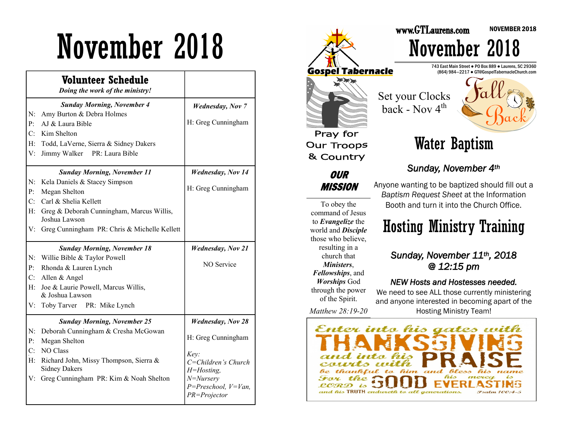# November 2018

|                | Volunteer Schedule<br>Doing the work of the ministry!          |                                                    |
|----------------|----------------------------------------------------------------|----------------------------------------------------|
|                | <b>Sunday Morning, November 4</b>                              | <b>Wednesday</b> , Nov 7                           |
| $N$ :          | Amy Burton & Debra Holmes                                      |                                                    |
| P:             | AJ & Laura Bible                                               | H: Greg Cunningham                                 |
| $C^{\cdot}$    | Kim Shelton                                                    |                                                    |
| $H$ :          | Todd, LaVerne, Sierra & Sidney Dakers                          |                                                    |
| V:             | PR: Laura Bible<br>Jimmy Walker                                |                                                    |
|                | <b>Sunday Morning, November 11</b>                             | <b>Wednesday, Nov 14</b>                           |
| N:             | Kela Daniels & Stacey Simpson                                  |                                                    |
| P:             | Megan Shelton                                                  | H: Greg Cunningham                                 |
| $C_{\cdot}$    | Carl & Shelia Kellett                                          |                                                    |
| H:             | Greg & Deborah Cunningham, Marcus Willis,<br>Joshua Lawson     |                                                    |
| V:             | Greg Cunningham PR: Chris & Michelle Kellett                   |                                                    |
|                | <b>Sunday Morning, November 18</b>                             | <b>Wednesday, Nov 21</b>                           |
| N:             | Willie Bible & Taylor Powell                                   |                                                    |
| P:             | Rhonda & Lauren Lynch                                          | NO Service                                         |
| C <sup>2</sup> | Allen & Angel                                                  |                                                    |
|                |                                                                |                                                    |
| H:             | Joe & Laurie Powell, Marcus Willis,<br>& Joshua Lawson         |                                                    |
| V:             | Toby Tarver PR: Mike Lynch                                     |                                                    |
|                | <b>Sunday Morning, November 25</b>                             | <b>Wednesday</b> , Nov 28                          |
| N:             | Deborah Cunningham & Cresha McGowan                            |                                                    |
| P:             | Megan Shelton                                                  | H: Greg Cunningham                                 |
| C:             | <b>NO Class</b>                                                |                                                    |
| H:             | Richard John, Missy Thompson, Sierra &<br><b>Sidney Dakers</b> | Key:<br>$C = Children's Church$<br>$H = H$ osting, |



NOVEMBER 2018

We need to see ALL those currently ministering and anyone interested in becoming apart of the Hosting Ministry Team!

Enter into his gates reklul him and  $f_{d,0}$ Peless Prin the **NET**  $\lambda$ and his TRUTH endureth to all generations **Pralm 100-4-5** 

*Matthew 28:19-20*